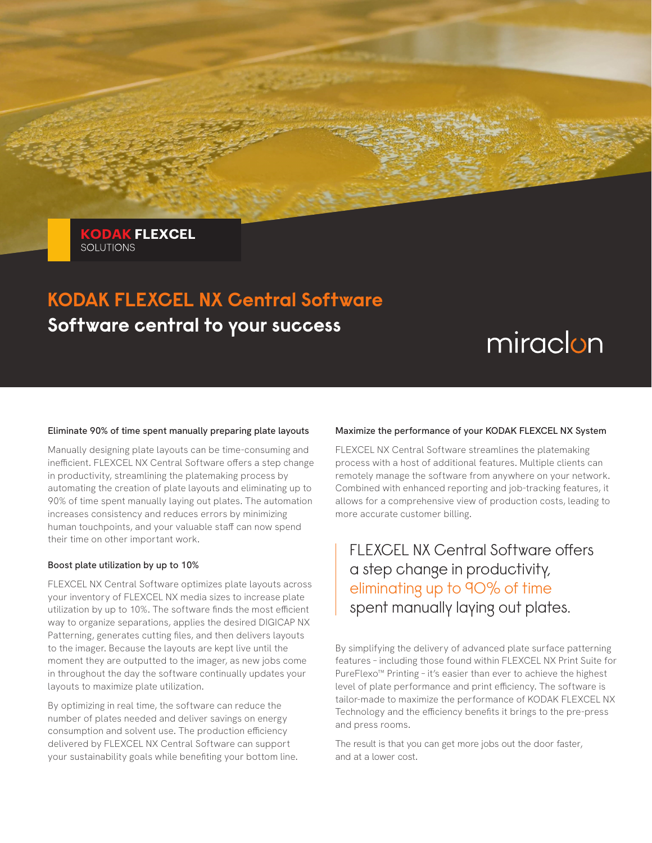**KODAK FLEXCEL SOLUTIONS** 

## **KODAK FLEXCEL NX Central Software Software central to your success**

# miraclon

#### **Eliminate 90% of time spent manually preparing plate layouts**

Manually designing plate layouts can be time-consuming and inefficient. FLEXCEL NX Central Software offers a step change in productivity, streamlining the platemaking process by automating the creation of plate layouts and eliminating up to 90% of time spent manually laying out plates. The automation increases consistency and reduces errors by minimizing human touchpoints, and your valuable staff can now spend their time on other important work.

#### **Boost plate utilization by up to 10%**

FLEXCEL NX Central Software optimizes plate layouts across your inventory of FLEXCEL NX media sizes to increase plate utilization by up to 10%. The software finds the most efficient way to organize separations, applies the desired DIGICAP NX Patterning, generates cutting files, and then delivers layouts to the imager. Because the layouts are kept live until the moment they are outputted to the imager, as new jobs come in throughout the day the software continually updates your layouts to maximize plate utilization.

By optimizing in real time, the software can reduce the number of plates needed and deliver savings on energy consumption and solvent use. The production efficiency delivered by FLEXCEL NX Central Software can support your sustainability goals while benefiting your bottom line.

#### **Maximize the performance of your KODAK FLEXCEL NX System**

FLEXCEL NX Central Software streamlines the platemaking process with a host of additional features. Multiple clients can remotely manage the software from anywhere on your network. Combined with enhanced reporting and job-tracking features, it allows for a comprehensive view of production costs, leading to more accurate customer billing.

### FLEXCEL NX Central Software offers a step change in productivity, eliminating up to 90% of time spent manually laying out plates.

By simplifying the delivery of advanced plate surface patterning features – including those found within FLEXCEL NX Print Suite for PureFlexo™ Printing – it's easier than ever to achieve the highest level of plate performance and print efficiency. The software is tailor-made to maximize the performance of KODAK FLEXCEL NX Technology and the efficiency benefits it brings to the pre-press and press rooms.

The result is that you can get more jobs out the door faster, and at a lower cost.